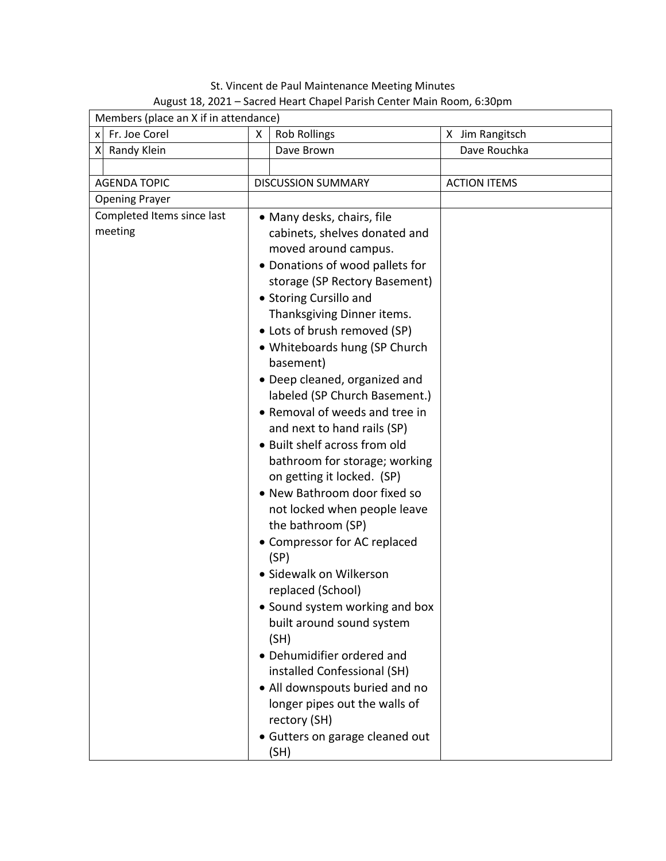St. Vincent de Paul Maintenance Meeting Minutes August 18, 2021 – Sacred Heart Chapel Parish Center Main Room, 6:30pm

| Members (place an X if in attendance) |                               |                                               |                     |  |  |
|---------------------------------------|-------------------------------|-----------------------------------------------|---------------------|--|--|
| Fr. Joe Corel<br>X                    | X                             | <b>Rob Rollings</b>                           | X Jim Rangitsch     |  |  |
| X Randy Klein                         |                               | Dave Brown                                    | Dave Rouchka        |  |  |
|                                       |                               |                                               |                     |  |  |
| <b>AGENDA TOPIC</b>                   |                               | <b>DISCUSSION SUMMARY</b>                     | <b>ACTION ITEMS</b> |  |  |
| <b>Opening Prayer</b>                 |                               |                                               |                     |  |  |
| Completed Items since last            |                               | • Many desks, chairs, file                    |                     |  |  |
| meeting                               |                               | cabinets, shelves donated and                 |                     |  |  |
|                                       |                               | moved around campus.                          |                     |  |  |
|                                       |                               | • Donations of wood pallets for               |                     |  |  |
|                                       | storage (SP Rectory Basement) |                                               |                     |  |  |
|                                       | • Storing Cursillo and        |                                               |                     |  |  |
|                                       |                               | Thanksgiving Dinner items.                    |                     |  |  |
|                                       |                               | • Lots of brush removed (SP)                  |                     |  |  |
|                                       |                               | • Whiteboards hung (SP Church                 |                     |  |  |
|                                       |                               | basement)                                     |                     |  |  |
|                                       |                               | • Deep cleaned, organized and                 |                     |  |  |
|                                       |                               | labeled (SP Church Basement.)                 |                     |  |  |
|                                       |                               | • Removal of weeds and tree in                |                     |  |  |
|                                       |                               | and next to hand rails (SP)                   |                     |  |  |
|                                       |                               | • Built shelf across from old                 |                     |  |  |
|                                       |                               | bathroom for storage; working                 |                     |  |  |
|                                       |                               | on getting it locked. (SP)                    |                     |  |  |
|                                       |                               | • New Bathroom door fixed so                  |                     |  |  |
|                                       |                               | not locked when people leave                  |                     |  |  |
|                                       |                               | the bathroom (SP)                             |                     |  |  |
|                                       |                               | • Compressor for AC replaced                  |                     |  |  |
|                                       |                               | (SP)                                          |                     |  |  |
|                                       |                               | • Sidewalk on Wilkerson                       |                     |  |  |
|                                       |                               | replaced (School)                             |                     |  |  |
|                                       |                               | • Sound system working and box                |                     |  |  |
|                                       |                               | built around sound system                     |                     |  |  |
|                                       |                               | (SH)                                          |                     |  |  |
|                                       |                               | • Dehumidifier ordered and                    |                     |  |  |
|                                       |                               | installed Confessional (SH)                   |                     |  |  |
|                                       |                               | • All downspouts buried and no                |                     |  |  |
|                                       |                               | longer pipes out the walls of<br>rectory (SH) |                     |  |  |
|                                       |                               |                                               |                     |  |  |
|                                       |                               | · Gutters on garage cleaned out               |                     |  |  |
|                                       |                               | (SH)                                          |                     |  |  |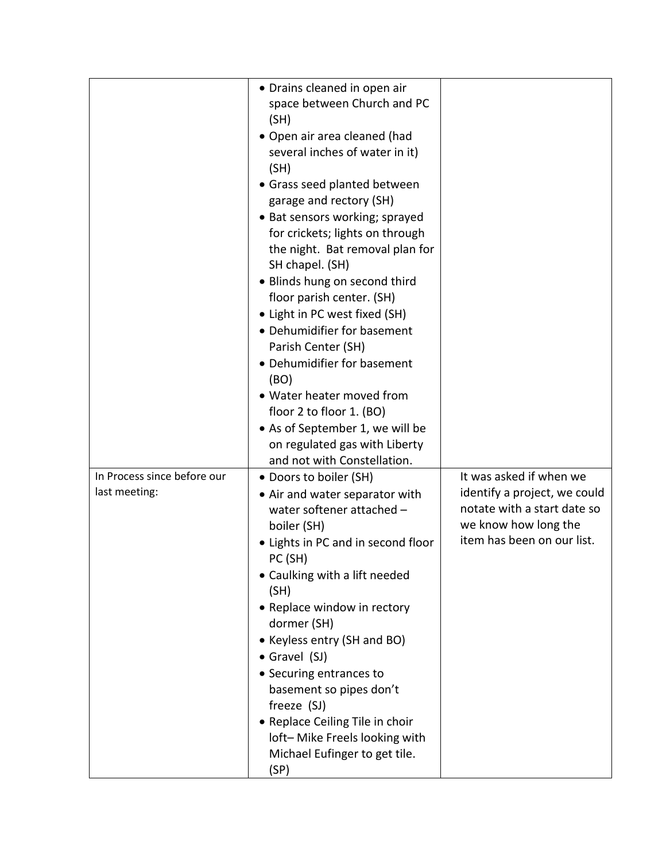|                                              | • Drains cleaned in open air<br>space between Church and PC<br>(SH)<br>· Open air area cleaned (had<br>several inches of water in it)<br>(SH)<br>• Grass seed planted between<br>garage and rectory (SH)<br>• Bat sensors working; sprayed<br>for crickets; lights on through<br>the night. Bat removal plan for<br>SH chapel. (SH)<br>• Blinds hung on second third<br>floor parish center. (SH)<br>• Light in PC west fixed (SH)<br>• Dehumidifier for basement<br>Parish Center (SH)<br>• Dehumidifier for basement<br>(BO)<br>• Water heater moved from<br>floor 2 to floor 1. (BO) |                                                                                                                                              |
|----------------------------------------------|-----------------------------------------------------------------------------------------------------------------------------------------------------------------------------------------------------------------------------------------------------------------------------------------------------------------------------------------------------------------------------------------------------------------------------------------------------------------------------------------------------------------------------------------------------------------------------------------|----------------------------------------------------------------------------------------------------------------------------------------------|
|                                              | • As of September 1, we will be<br>on regulated gas with Liberty<br>and not with Constellation.                                                                                                                                                                                                                                                                                                                                                                                                                                                                                         |                                                                                                                                              |
| In Process since before our<br>last meeting: | • Doors to boiler (SH)<br>• Air and water separator with<br>water softener attached -<br>boiler (SH)<br>• Lights in PC and in second floor<br>PC (SH)<br>• Caulking with a lift needed<br>(SH)<br>• Replace window in rectory<br>dormer (SH)<br>• Keyless entry (SH and BO)<br>• Gravel (SJ)<br>• Securing entrances to<br>basement so pipes don't<br>freeze (SJ)<br>• Replace Ceiling Tile in choir<br>loft-Mike Freels looking with<br>Michael Eufinger to get tile.<br>(SP)                                                                                                          | It was asked if when we<br>identify a project, we could<br>notate with a start date so<br>we know how long the<br>item has been on our list. |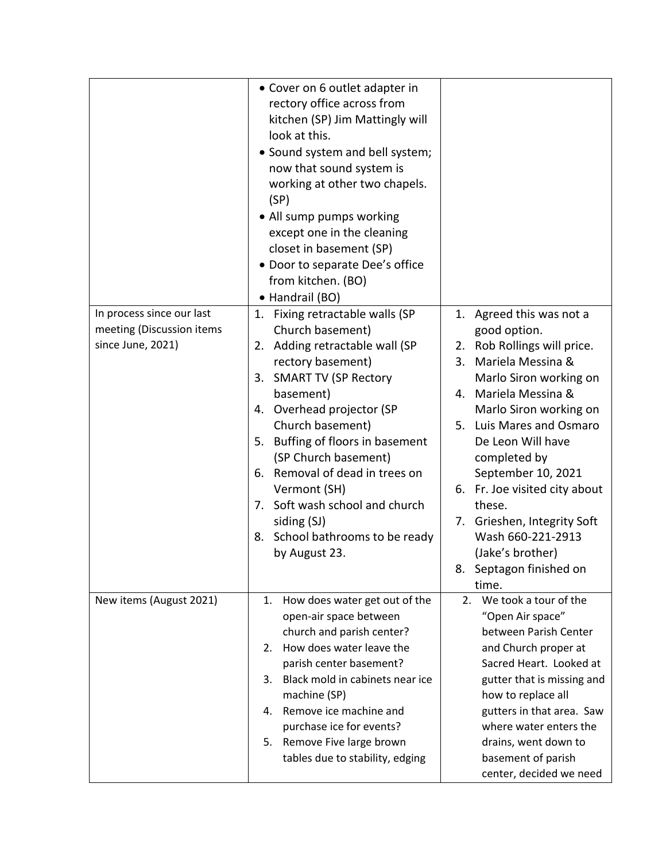| In process since our last<br>meeting (Discussion items<br>since June, 2021) | • Cover on 6 outlet adapter in<br>rectory office across from<br>kitchen (SP) Jim Mattingly will<br>look at this.<br>• Sound system and bell system;<br>now that sound system is<br>working at other two chapels.<br>(SP)<br>• All sump pumps working<br>except one in the cleaning<br>closet in basement (SP)<br>• Door to separate Dee's office<br>from kitchen. (BO)<br>• Handrail (BO)<br>Fixing retractable walls (SP<br>1.<br>Church basement)<br>2. Adding retractable wall (SP<br>rectory basement)<br>3. SMART TV (SP Rectory<br>basement)<br>4. Overhead projector (SP<br>Church basement)<br>5. Buffing of floors in basement<br>(SP Church basement)<br>6. Removal of dead in trees on<br>Vermont (SH)<br>7. Soft wash school and church<br>siding (SJ) | 1. Agreed this was not a<br>good option.<br>2. Rob Rollings will price.<br>Mariela Messina &<br>3.<br>Marlo Siron working on<br>4. Mariela Messina &<br>Marlo Siron working on<br>5. Luis Mares and Osmaro<br>De Leon Will have<br>completed by<br>September 10, 2021<br>6. Fr. Joe visited city about<br>these.<br>7. Grieshen, Integrity Soft |
|-----------------------------------------------------------------------------|--------------------------------------------------------------------------------------------------------------------------------------------------------------------------------------------------------------------------------------------------------------------------------------------------------------------------------------------------------------------------------------------------------------------------------------------------------------------------------------------------------------------------------------------------------------------------------------------------------------------------------------------------------------------------------------------------------------------------------------------------------------------|-------------------------------------------------------------------------------------------------------------------------------------------------------------------------------------------------------------------------------------------------------------------------------------------------------------------------------------------------|
|                                                                             | School bathrooms to be ready<br>8.<br>by August 23.                                                                                                                                                                                                                                                                                                                                                                                                                                                                                                                                                                                                                                                                                                                | Wash 660-221-2913<br>(Jake's brother)<br>8. Septagon finished on<br>time.                                                                                                                                                                                                                                                                       |
| New items (August 2021)                                                     | 1.<br>How does water get out of the<br>open-air space between<br>church and parish center?<br>How does water leave the<br>2.<br>parish center basement?<br>Black mold in cabinets near ice<br>3.<br>machine (SP)<br>Remove ice machine and<br>4.<br>purchase ice for events?<br>Remove Five large brown<br>5.<br>tables due to stability, edging                                                                                                                                                                                                                                                                                                                                                                                                                   | We took a tour of the<br>2.<br>"Open Air space"<br>between Parish Center<br>and Church proper at<br>Sacred Heart. Looked at<br>gutter that is missing and<br>how to replace all<br>gutters in that area. Saw<br>where water enters the<br>drains, went down to<br>basement of parish<br>center, decided we need                                 |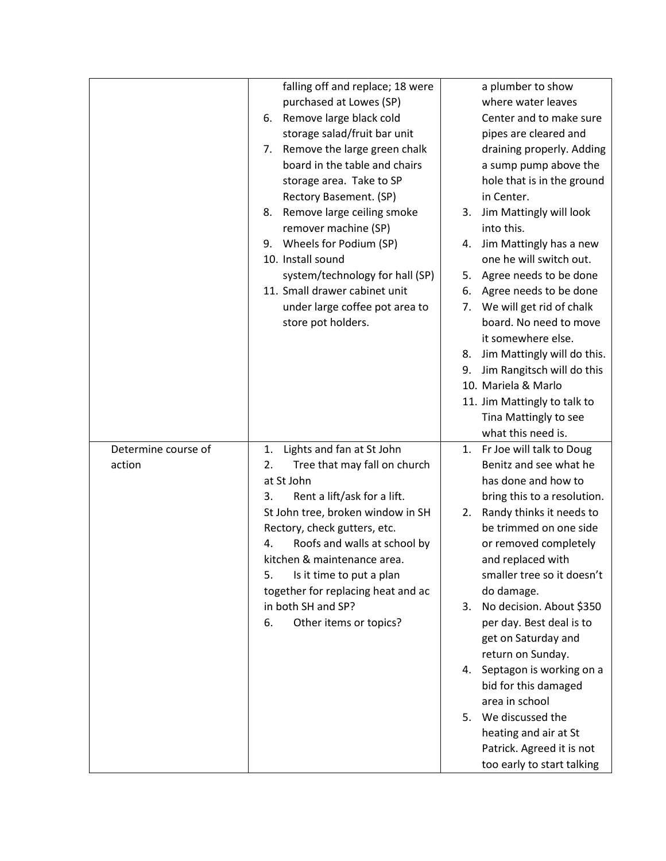|                     | falling off and replace; 18 were                               | a plumber to show                                      |
|---------------------|----------------------------------------------------------------|--------------------------------------------------------|
|                     | purchased at Lowes (SP)                                        | where water leaves                                     |
|                     | Remove large black cold<br>6.                                  | Center and to make sure                                |
|                     | storage salad/fruit bar unit                                   | pipes are cleared and                                  |
|                     | Remove the large green chalk<br>7.                             | draining properly. Adding                              |
|                     | board in the table and chairs                                  | a sump pump above the                                  |
|                     | storage area. Take to SP                                       | hole that is in the ground                             |
|                     | Rectory Basement. (SP)                                         | in Center.                                             |
|                     | Remove large ceiling smoke<br>8.                               | Jim Mattingly will look<br>3.                          |
|                     | remover machine (SP)                                           | into this.                                             |
|                     | 9. Wheels for Podium (SP)                                      | Jim Mattingly has a new<br>4.                          |
|                     | 10. Install sound                                              | one he will switch out.                                |
|                     | system/technology for hall (SP)                                | Agree needs to be done<br>5.                           |
|                     | 11. Small drawer cabinet unit                                  | Agree needs to be done<br>6.                           |
|                     | under large coffee pot area to                                 | We will get rid of chalk<br>7.                         |
|                     | store pot holders.                                             | board. No need to move                                 |
|                     |                                                                | it somewhere else.                                     |
|                     |                                                                | Jim Mattingly will do this.<br>8.                      |
|                     |                                                                | Jim Rangitsch will do this<br>9.                       |
|                     |                                                                | 10. Mariela & Marlo                                    |
|                     |                                                                | 11. Jim Mattingly to talk to                           |
|                     |                                                                | Tina Mattingly to see                                  |
|                     |                                                                | what this need is.                                     |
| Determine course of | Lights and fan at St John<br>1.                                | Fr Joe will talk to Doug<br>1.                         |
| action              | Tree that may fall on church<br>2.                             | Benitz and see what he                                 |
|                     | at St John                                                     | has done and how to                                    |
|                     | Rent a lift/ask for a lift.<br>3.                              | bring this to a resolution.                            |
|                     | St John tree, broken window in SH                              | Randy thinks it needs to                               |
|                     | Rectory, check gutters, etc.                                   | 2.<br>be trimmed on one side                           |
|                     | Roofs and walls at school by<br>4.                             | or removed completely                                  |
|                     | kitchen & maintenance area.                                    |                                                        |
|                     | 5.                                                             | and replaced with<br>smaller tree so it doesn't        |
|                     | Is it time to put a plan<br>together for replacing heat and ac | do damage.                                             |
|                     | in both SH and SP?                                             | No decision. About \$350<br>3.                         |
|                     | 6.                                                             | per day. Best deal is to                               |
|                     | Other items or topics?                                         |                                                        |
|                     |                                                                | get on Saturday and                                    |
|                     |                                                                | return on Sunday.                                      |
|                     |                                                                | Septagon is working on a<br>4.<br>bid for this damaged |
|                     |                                                                | area in school                                         |
|                     |                                                                |                                                        |
|                     |                                                                | 5. We discussed the                                    |
|                     |                                                                | heating and air at St                                  |
|                     |                                                                | Patrick. Agreed it is not                              |
|                     |                                                                | too early to start talking                             |